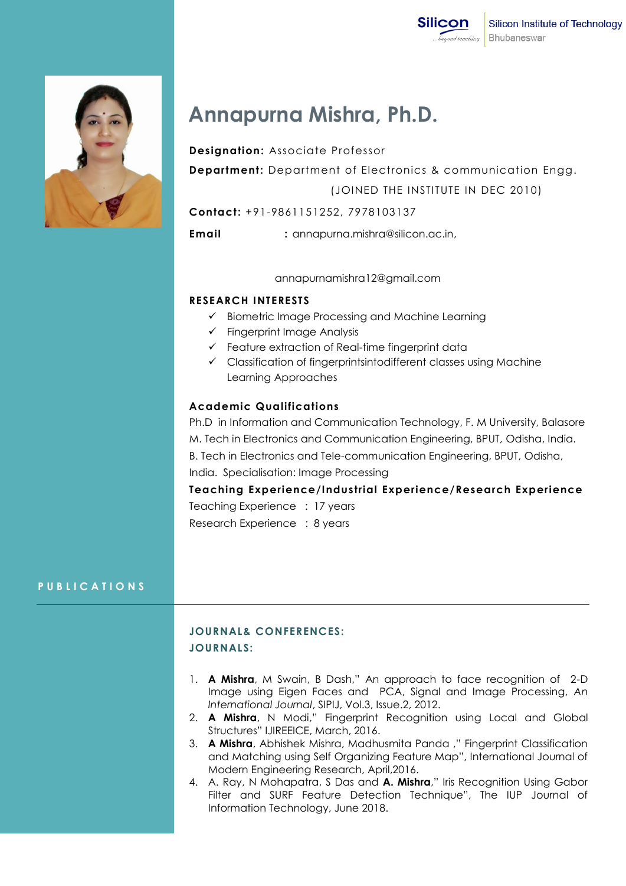

# **Annapurna Mishra, Ph.D.**

**Designation:** Associate Professor

**Department:** Department of Electronics & communication Engg. (JOINED THE INSTITUTE IN DEC 2010)

**Contact:** +91-9861151252, 7978103137

**Email :** annapurna.mishra@silicon.ac.in,

#### annapurnamishra12@gmail.com

## **RESEARCH INTERESTS**

- $\checkmark$  Biometric Image Processing and Machine Learning
- $\checkmark$  Fingerprint Image Analysis
- $\checkmark$  Feature extraction of Real-time fingerprint data
- Classification of fingerprintsintodifferent classes using Machine Learning Approaches

## **Academic Qualifications**

Ph.D in Information and Communication Technology, F. M University, Balasore M. Tech in Electronics and Communication Engineering, BPUT, Odisha, India. B. Tech in Electronics and Tele-communication Engineering, BPUT, Odisha, India. Specialisation: Image Processing

**Teaching Experience/Industrial Experience/Research Experience**

Teaching Experience : 17 years Research Experience : 8 years

## **P U B L I C A T I O N S**

## **JOURNAL& CONFERENCES: JOURNALS:**

- 1. **A Mishra**, M Swain, B Dash," An approach to face recognition of 2-D Image using Eigen Faces and PCA, Signal and Image Processing, *An International Journal*, SIPIJ, Vol.3, Issue.2, 2012.
- 2. **A Mishra**, N Modi," Fingerprint Recognition using Local and Global Structures" IJIREEICE, March, 2016.
- 3. **A Mishra**, Abhishek Mishra, Madhusmita Panda ," Fingerprint Classification and Matching using Self Organizing Feature Map", International Journal of Modern Engineering Research, April,2016.
- 4. A. Ray, N Mohapatra, S Das and **A. Mishra**," Iris Recognition Using Gabor Filter and SURF Feature Detection Technique", The IUP Journal of Information Technology, June 2018.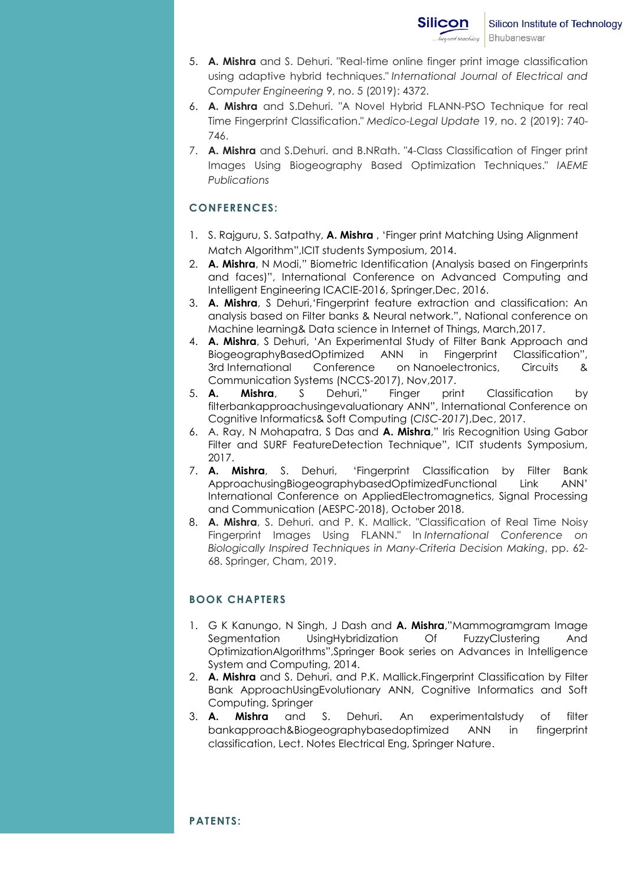- 5. **A. Mishra** and S. Dehuri. "Real-time online finger print image classification using adaptive hybrid techniques." *International Journal of Electrical and Computer Engineering* 9, no. 5 (2019): 4372.
- 6. **A. Mishra** and S.Dehuri. "A Novel Hybrid FLANN-PSO Technique for real Time Fingerprint Classification." *Medico-Legal Update* 19, no. 2 (2019): 740- 746.
- 7. **A. Mishra** and S.Dehuri. and B.NRath. "4-Class Classification of Finger print Images Using Biogeography Based Optimization Techniques." *IAEME Publications*

### **CONFERENCES:**

- 1. S. Rajguru, S. Satpathy, **A. Mishra** , "Finger print Matching Using Alignment Match Algorithm",ICIT students Symposium, 2014.
- 2. **A. Mishra**, N Modi," Biometric Identification (Analysis based on Fingerprints and faces)", International Conference on Advanced Computing and Intelligent Engineering ICACIE-2016, Springer,Dec, 2016.
- 3. **A. Mishra**, S Dehuri,"Fingerprint feature extraction and classification: An analysis based on Filter banks & Neural network.", National conference on Machine learning& Data science in Internet of Things, March,2017.
- 4. **A. Mishra**, S Dehuri, "An Experimental Study of Filter Bank Approach and BiogeographyBasedOptimized ANN in Fingerprint Classification", 3rd International Conference on Nanoelectronics, Circuits & Communication Systems (NCCS-2017), Nov,2017.
- 5. **A. Mishra**, S Dehuri," Finger print Classification by filterbankapproachusingevaluationary ANN", International Conference on Cognitive Informatics& Soft Computing (*CISC-2017*),Dec, 2017.
- 6. A. Ray, N Mohapatra, S Das and **A. Mishra**," Iris Recognition Using Gabor Filter and SURF FeatureDetection Technique", ICIT students Symposium, 2017.
- 7. **A. Mishra**, S. Dehuri, "Fingerprint Classification by Filter Bank ApproachusingBiogeographybasedOptimizedFunctional Link ANN" International Conference on AppliedElectromagnetics, Signal Processing and Communication (AESPC-2018), October 2018.
- 8. **A. Mishra**, S. Dehuri. and P. K. Mallick. "Classification of Real Time Noisy Fingerprint Images Using FLANN." In *International Conference on Biologically Inspired Techniques in Many-Criteria Decision Making*, pp. 62- 68. Springer, Cham, 2019.

### **BOOK CHAPTERS**

- 1. G K Kanungo, N Singh, J Dash and **A. Mishra**,"Mammogramgram Image Segmentation UsingHybridization Of FuzzyClustering And OptimizationAlgorithms",Springer Book series on Advances in Intelligence System and Computing, 2014.
- 2. **A. Mishra** and S. Dehuri. and P.K. Mallick.Fingerprint Classification by Filter Bank ApproachUsingEvolutionary ANN, Cognitive Informatics and Soft Computing, Springer
- 3. **A. Mishra** and S. Dehuri. An experimentalstudy of filter bankapproach&Biogeographybasedoptimized ANN in fingerprint classification, Lect. Notes Electrical Eng, Springer Nature.